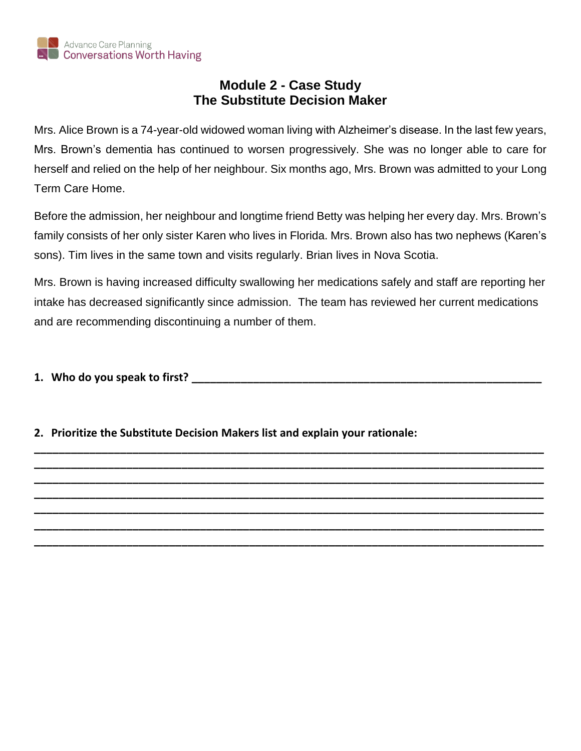

## **Module 2 - Case Study The Substitute Decision Maker**

Mrs. Alice Brown is a 74-year-old widowed woman living with Alzheimer's disease. In the last few years, Mrs. Brown's dementia has continued to worsen progressively. She was no longer able to care for herself and relied on the help of her neighbour. Six months ago, Mrs. Brown was admitted to your Long Term Care Home.

Before the admission, her neighbour and longtime friend Betty was helping her every day. Mrs. Brown's family consists of her only sister Karen who lives in Florida. Mrs. Brown also has two nephews (Karen's sons). Tim lives in the same town and visits regularly. Brian lives in Nova Scotia.

Mrs. Brown is having increased difficulty swallowing her medications safely and staff are reporting her intake has decreased significantly since admission. The team has reviewed her current medications and are recommending discontinuing a number of them.

**\_\_\_\_\_\_\_\_\_\_\_\_\_\_\_\_\_\_\_\_\_\_\_\_\_\_\_\_\_\_\_\_\_\_\_\_\_\_\_\_\_\_\_\_\_\_\_\_\_\_\_\_\_\_\_\_\_\_\_\_\_\_\_\_\_\_\_\_\_\_\_\_\_\_\_\_\_\_\_\_\_\_\_ \_\_\_\_\_\_\_\_\_\_\_\_\_\_\_\_\_\_\_\_\_\_\_\_\_\_\_\_\_\_\_\_\_\_\_\_\_\_\_\_\_\_\_\_\_\_\_\_\_\_\_\_\_\_\_\_\_\_\_\_\_\_\_\_\_\_\_\_\_\_\_\_\_\_\_\_\_\_\_\_\_\_\_ \_\_\_\_\_\_\_\_\_\_\_\_\_\_\_\_\_\_\_\_\_\_\_\_\_\_\_\_\_\_\_\_\_\_\_\_\_\_\_\_\_\_\_\_\_\_\_\_\_\_\_\_\_\_\_\_\_\_\_\_\_\_\_\_\_\_\_\_\_\_\_\_\_\_\_\_\_\_\_\_\_\_\_ \_\_\_\_\_\_\_\_\_\_\_\_\_\_\_\_\_\_\_\_\_\_\_\_\_\_\_\_\_\_\_\_\_\_\_\_\_\_\_\_\_\_\_\_\_\_\_\_\_\_\_\_\_\_\_\_\_\_\_\_\_\_\_\_\_\_\_\_\_\_\_\_\_\_\_\_\_\_\_\_\_\_\_ \_\_\_\_\_\_\_\_\_\_\_\_\_\_\_\_\_\_\_\_\_\_\_\_\_\_\_\_\_\_\_\_\_\_\_\_\_\_\_\_\_\_\_\_\_\_\_\_\_\_\_\_\_\_\_\_\_\_\_\_\_\_\_\_\_\_\_\_\_\_\_\_\_\_\_\_\_\_\_\_\_\_\_ \_\_\_\_\_\_\_\_\_\_\_\_\_\_\_\_\_\_\_\_\_\_\_\_\_\_\_\_\_\_\_\_\_\_\_\_\_\_\_\_\_\_\_\_\_\_\_\_\_\_\_\_\_\_\_\_\_\_\_\_\_\_\_\_\_\_\_\_\_\_\_\_\_\_\_\_\_\_\_\_\_\_\_ \_\_\_\_\_\_\_\_\_\_\_\_\_\_\_\_\_\_\_\_\_\_\_\_\_\_\_\_\_\_\_\_\_\_\_\_\_\_\_\_\_\_\_\_\_\_\_\_\_\_\_\_\_\_\_\_\_\_\_\_\_\_\_\_\_\_\_\_\_\_\_\_\_\_\_\_\_\_\_\_\_\_\_**

**1. Who do you speak to first? \_\_\_\_\_\_\_\_\_\_\_\_\_\_\_\_\_\_\_\_\_\_\_\_\_\_\_\_\_\_\_\_\_\_\_\_\_\_\_\_\_\_\_\_\_\_\_\_\_\_\_\_\_\_\_\_\_**

**2. Prioritize the Substitute Decision Makers list and explain your rationale:**